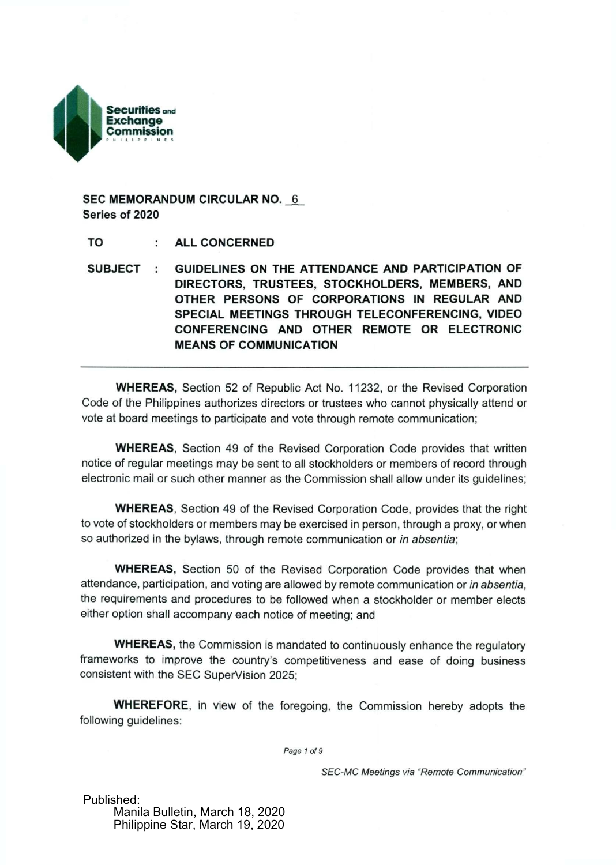

**SEC MEMORANDUM CIRCULAR NO.** 6 **Series of** 2020

**TO ALL CONCERNED** 

**SUBJECT : GUIDELINES ON THE ATTENDANCE AND PARTICIPATION OF DIRECTORS, TRUSTEES, STOCKHOLDERS, MEMBERS, AND OTHER PERSONS OF CORPORATIONS IN REGULAR AND SPECIAL MEETINGS THROUGH TELECONFERENCING, VIDEO CONFERENCING AND OTHER REMOTE OR ELECTRONIC MEANS OF COMMUNICATION** 

**WHEREAS,** Section 52 of Republic Act No. 11232, or the Revised Corporation Code of the Philippines authorizes directors or trustees who cannot physically attend or vote at board meetings to participate and vote through remote communication;

**WHEREAS,** Section 49 of the Revised Corporation Code provides that written notice of regular meetings may be sent to all stockholders or members of record through electronic mail or such other manner as the Commission shall allow under its guidelines;

**WHEREAS,** Section 49 of the Revised Corporation Code, provides that the right to vote of stockholders or members may be exercised in person, through a proxy, or when so authorized in the bylaws, through remote communication or *in absentia;* 

**WHEREAS,** Section 50 of the Revised Corporation Code provides that when attendance, participation, and voting are allowed by remote communication or *in absentia,*  the requirements and procedures to be followed when a stockholder or member elects either option shall accompany each notice of meeting; and

**WHEREAS,** the Commission is mandated to continuously enhance the regulatory frameworks to improve the country's competitiveness and ease of doing business consistent with the SEC SuperVision 2025;

**WHEREFORE,** in view of the foregoing, the Commission hereby adopts the following guidelines:

*Page 1 of 9* 

*SEC-MC Meetings via "Remote Communication"* 

Published: Manila Bulletin, March 18, 2020 Philippine Star, March 19, 2020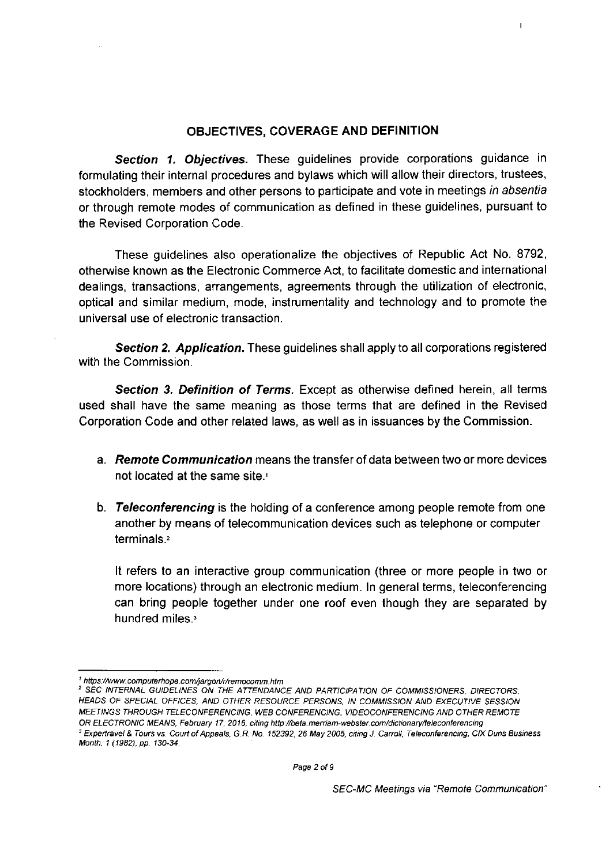## **OBJECTIVES, COVERAGE AND DEFINITION**

I

*Section 1. Objectives.* These guidelines provide corporations guidance in formulating their internal procedures and bylaws which will allow their directors, trustees, stockholders, members and other persons to participate and vote in meetings *in absentia*  or through remote modes of communication as defined in these guidelines, pursuant to the Revised Corporation Code.

These guidelines also operationalize the objectives of Republic Act No. 8792, otherwise known as the Electronic Commerce Act, to facilitate domestic and international dealings, transactions, arrangements, agreements through the utilization of electronic, optical and similar medium, mode, instrumentality and technology and to promote the universal use of electronic transaction.

*Section 2. Application.* These guidelines shall apply to all corporations registered with the Commission.

*Section 3. Definition of Terms.* Except as otherwise defined herein, all terms used shall have the same meaning as those terms that are defined in the Revised Corporation Code and other related laws, as well as in issuances by the Commission.

- a. *Remote Communication* means the transfer of data between two or more devices not located at the same site.<sup>1</sup>
- b. *Teleconferencing* is the holding of a conference among people remote from one another by means of telecommunication devices such as telephone or computer terminals.<sup>2</sup>

It refers to an interactive group communication (three or more people in two or more locations) through an electronic medium. In general terms, teleconferencing can bring people together under one roof even though they are separated by hundred miles.<sup>3</sup>

*[<sup>&#</sup>x27; https://www.computerhope.eom/jargon/r/remocomm.htm](https://www.computerhope.eom/jargon/r/remocomm.htm)* 

*<sup>2</sup> SEC INTERNAL GUIDELINES ON THE ATTENDANCE AND PARTICIPATION OF COMMISSIONERS, DIRECTORS, HEADS OF SPECIAL OFFICES, AND OTHER RESOURCE PERSONS, IN COMMISSION AND EXECUTIVE SESSION MEETINGS THROUGH TELECONFERENCING, WEB CONFERENCING, VIDEOCONFERENCING AND OTHER REMOTE*  OR ELECTRONIC MEANS, February 17, 2016, citing http://beta.merriam-webster.com/dictionary/teleconferencing *3 Expertravel & Tours vs. Court of Appeals, G.R. No. 152392, 26 May 2005, citing J. Carroll, Teleconferencing, CIX Duns Business Month, 1 (1982), pp. 130-34.*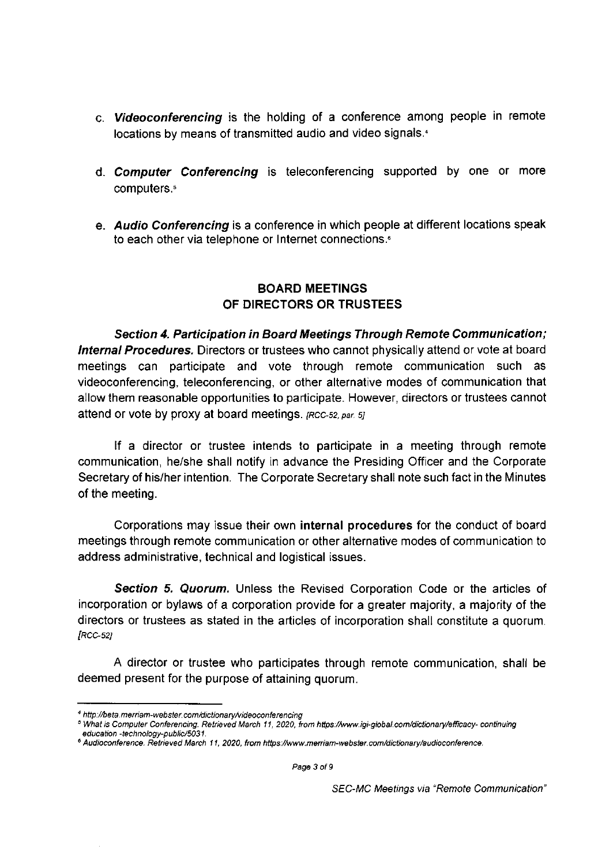- c. *Videoconferencing* is the holding of a conference among people in remote locations by means of transmitted audio and video signals. <sup>4</sup>
- d. *Computer Conferencing* is teleconferencing supported by one or more computers.<sup>5</sup>
- e. *Audio Conferencing* is a conference in which people at different locations speak to each other via telephone or Internet connections.<sup>6</sup>

## **BOARD MEETINGS OF DIRECTORS OR TRUSTEES**

*Section 4. Participation in Board Meetings Through Remote Communication; Internal Procedures.* Directors or trustees who cannot physically attend or vote at board meetings can participate and vote through remote communication such as videoconferencing, teleconferencing, or other alternative modes of communication that allow them reasonable opportunities to participate. However, directors or trustees cannot attend or vote by proxy at board meetings, *[RCC-52, par.* 5;

If a director or trustee intends to participate in a meeting through remote communication, he/she shall notify in advance the Presiding Officer and the Corporate Secretary of his/her intention. The Corporate Secretary shall note such fact in the Minutes of the meeting.

Corporations may issue their own **internal procedures** for the conduct of board meetings through remote communication or other alternative modes of communication to address administrative, technical and logistical issues.

*Section 5. Quorum.* Unless the Revised Corporation Code or the articles of incorporation or bylaws of a corporation provide for a greater majority, a majority of the directors or trustees as stated in the articles of incorporation shall constitute a quorum. *[RCC-52]* 

A director or trustee who participates through remote communication, shall be deemed present for the purpose of attaining quorum.

*<sup>4</sup> <http://beta.merriam-webster.com/dictionary/videoconferencing>* 

*<sup>5</sup> What is Computer Conferencing. Retrieved March 11, 2020, torn [https://www.igi-global.com/dictionary/efficacy- c](https://www.igi-global.com/dictionary/efficacy-)ontinuing education -technology-public/5031.* 

*<sup>6</sup> Audioconference. Retrieved March 11, 2020, from [https://www.merriam-webster.com/dictionary/audioconference.](https://www.merriam-webster.com/dictionary/audioconference)*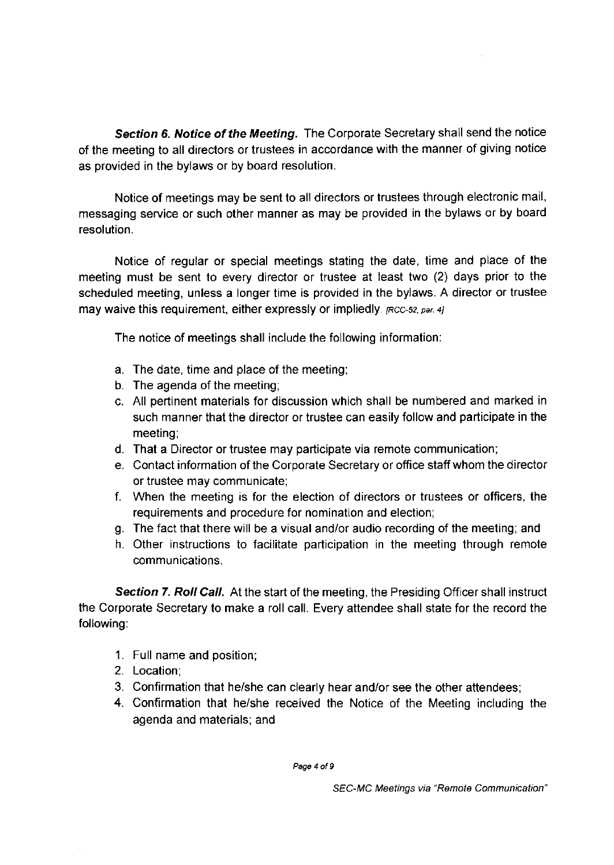*Section 6. Notice of the Meeting.* The Corporate Secretary shall send the notice of the meeting to all directors or trustees in accordance with the manner of giving notice as provided in the bylaws or by board resolution.

Notice of meetings may be sent to all directors or trustees through electronic mail, messaging service or such other manner as may be provided in the bylaws or by board resolution.

Notice of regular or special meetings stating the date, time and place of the meeting must be sent to every director or trustee at least two (2) days prior to the scheduled meeting, unless a longer time is provided in the bylaws. A director or trustee may waive this requirement, either expressly or impliedly. *[Rcc-52, par. 4]* 

The notice of meetings shall include the following information:

- a. The date, time and place of the meeting;
- b. The agenda of the meeting;
- c. All pertinent materials for discussion which shall be numbered and marked in such manner that the director or trustee can easily follow and participate in the meeting;
- d. That a Director or trustee may participate via remote communication;
- e. Contact information of the Corporate Secretary or office staff whom the director or trustee may communicate;
- f. When the meeting is for the election of directors or trustees or officers, the requirements and procedure for nomination and election;
- g. The fact that there will be a visual and/or audio recording of the meeting; and
- h. Other instructions to facilitate participation in the meeting through remote communications.

**Section 7. Roll Call.** At the start of the meeting, the Presiding Officer shall instruct the Corporate Secretary to make a roll call. Every attendee shall state for the record the following:

- 1. Full name and position;
- 2. Location;
- 3. Confirmation that he/she can clearly hear and/or see the other attendees;
- 4. Confirmation that he/she received the Notice of the Meeting including the agenda and materials; and

*Page 4 of 9*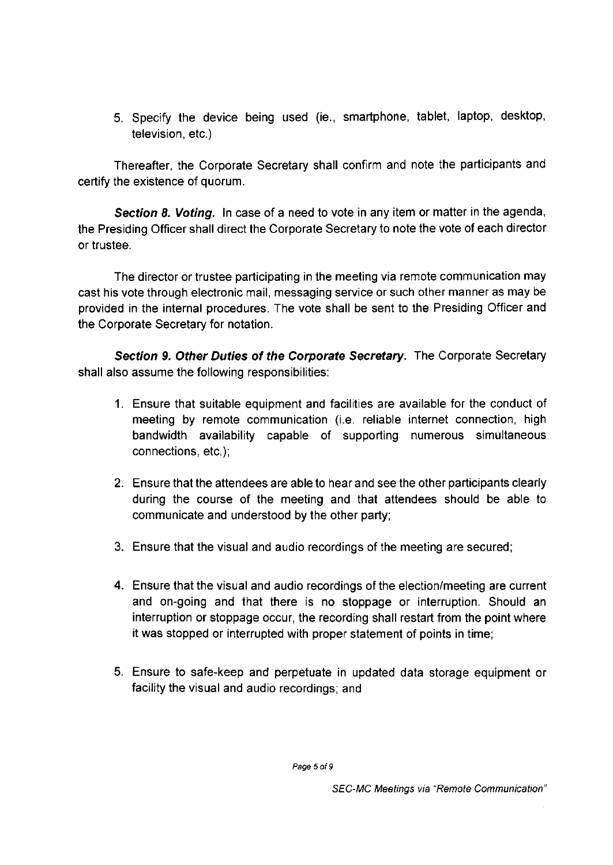5. Specify the device being used (ie., smartphone, tablet, laptop, desktop, television, etc.)

Thereafter, the Corporate Secretary shall confirm and note the participants and certify the existence of quorum.

*Section 8. Voting.* In case of a need to vote in any item or matter in the agenda, the Presiding Officer shall direct the Corporate Secretary to note the vote of each director or trustee.

The director or trustee participating in the meeting via remote communication may cast his vote through electronic mail, messaging service or such other manner as may be provided in the internal procedures. The vote shall be sent to the Presiding Officer and the Corporate Secretary for notation.

*Section 9. Other Duties of the Corporate Secretary.* The Corporate Secretary shall also assume the following responsibilities:

- 1. Ensure that suitable equipment and facilities are available for the conduct of meeting by remote communication (i.e. reliable internet connection, high bandwidth availability capable of supporting numerous simultaneous connections, etc.);
- 2. Ensure that the attendees are able to hear and see the other participants clearly during the course of the meeting and that attendees should be able to communicate and understood by the other party;
- 3. Ensure that the visual and audio recordings of the meeting are secured;
- 4. Ensure that the visual and audio recordings of the election/meeting are current and on-going and that there is no stoppage or interruption. Should an interruption or stoppage occur, the recording shall restart from the point where it was stopped or interrupted with proper statement of points in time;
- 5. Ensure to safe-keep and perpetuate in updated data storage equipment or facility the visual and audio recordings; and

*Page 5 of 9*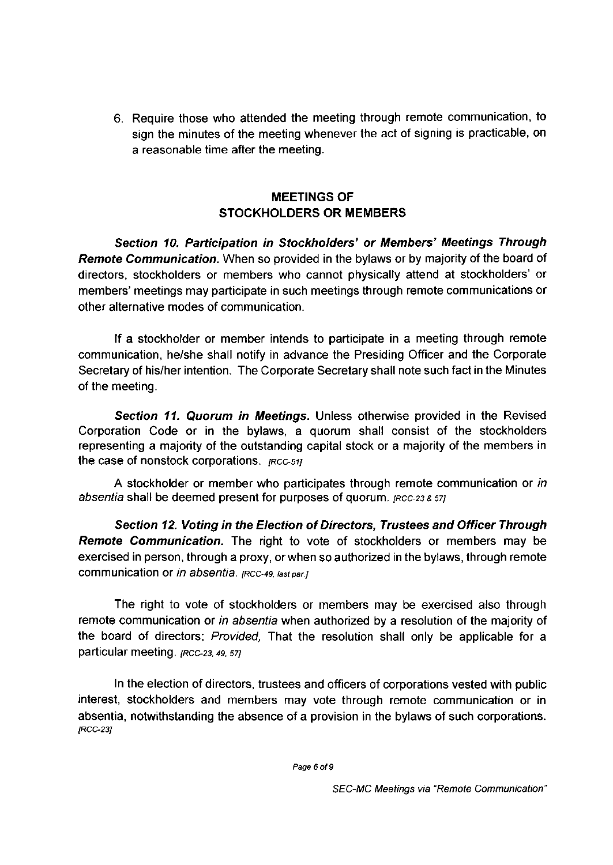6. Require those who attended the meeting through remote communication, to sign the minutes of the meeting whenever the act of signing is practicable, on a reasonable time after the meeting.

## **MEETINGS OF STOCKHOLDERS OR MEMBERS**

*Section 10. Participation in Stockholders' or Members' Meetings Through Remote Communication.* When so provided in the bylaws or by majority of the board of directors, stockholders or members who cannot physically attend at stockholders' or members' meetings may participate in such meetings through remote communications or other alternative modes of communication.

If a stockholder or member intends to participate in a meeting through remote communication, he/she shall notify in advance the Presiding Officer and the Corporate Secretary of his/her intention. The Corporate Secretary shall note such fact in the Minutes of the meeting.

*Section 11. Quorum in Meetings.* Unless otherwise provided in the Revised Corporation Code or in the bylaws, a quorum shall consist of the stockholders representing a majority of the outstanding capital stock or a majority of the members in the case of nonstock corporations, *[RCCSIJ* 

A stockholder or member who participates through remote communication or *in absentia* shall be deemed present for purposes of quorum. *[RCC-23&57]* 

*Section 12. Voting in the Election of Directors, Trustees and Officer Through Remote Communication.* The right to vote of stockholders or members may be exercised in person, through a proxy, orwhen so authorized in the bylaws, through remote communication or *in absentia. [Rcc-49, last par.]* 

The right to vote of stockholders or members may be exercised also through remote communication or *in absentia* when authorized by a resolution of the majority of the board of directors; *Provided,* That the resolution shall only be applicable for a particular meeting. *[Rcc-23,49,* 57;

In the election of directors, trustees and officers of corporations vested with public interest, stockholders and members may vote through remote communication or in absentia, notwithstanding the absence of a provision in the bylaws of such corporations. *[RCC-23]* 

*Page 6 of 9*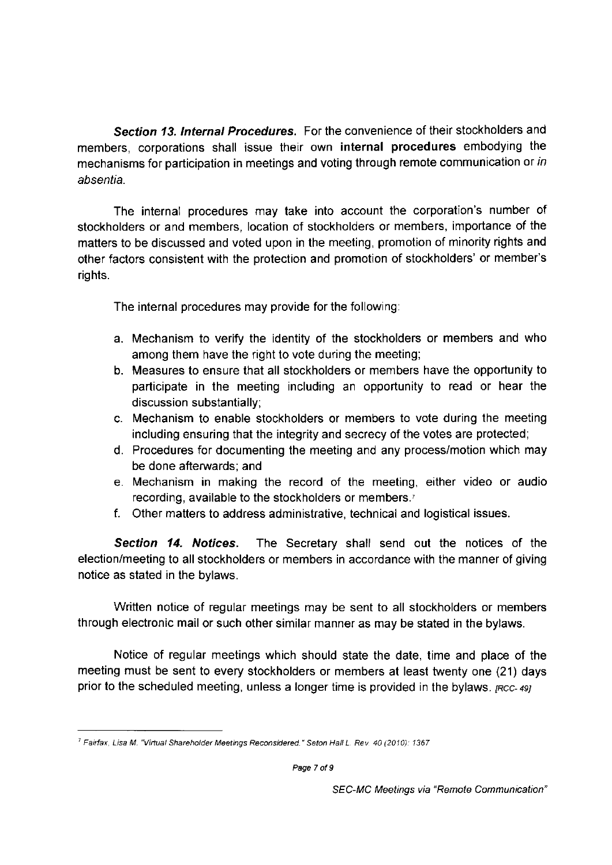*Section 13. Internal Procedures.* For the convenience of their stockholders and members, corporations shall issue their own **internal procedures** embodying the mechanisms for participation in meetings and voting through remote communication or *in absentia.* 

The internal procedures may take into account the corporation's number of stockholders or and members, location of stockholders or members, importance of the matters to be discussed and voted upon in the meeting, promotion of minority rights and other factors consistent with the protection and promotion of stockholders' or member's rights.

The internal procedures may provide for the following:

- a. Mechanism to verify the identity of the stockholders or members and who among them have the right to vote during the meeting;
- b. Measures to ensure that all stockholders or members have the opportunity to participate in the meeting including an opportunity to read or hear the discussion substantially;
- c. Mechanism to enable stockholders or members to vote during the meeting including ensuring that the integrity and secrecy of the votes are protected;
- d. Procedures for documenting the meeting and any process/motion which may be done afterwards; and
- e. Mechanism in making the record of the meeting, either video or audio recording, available to the stockholders or members.<sup>7</sup>
- f. Other matters to address administrative, technical and logistical issues.

*Section 14. Notices.* The Secretary shall send out the notices of the election/meeting to all stockholders or members in accordance with the manner of giving notice as stated in the bylaws.

Written notice of regular meetings may be sent to all stockholders or members through electronic mail or such other similar manner as may be stated in the bylaws.

Notice of regular meetings which should state the date, time and place of the meeting must be sent to every stockholders or members at least twenty one (21) days prior to the scheduled meeting, unless a longer time is provided in the bylaws, *[RCC-49]* 

*<sup>7</sup> Fairfax, Lisa M. "Virtual Shareholder Meetings Reconsidered." Seton Hall L. Rev. 40 (2010): 1367*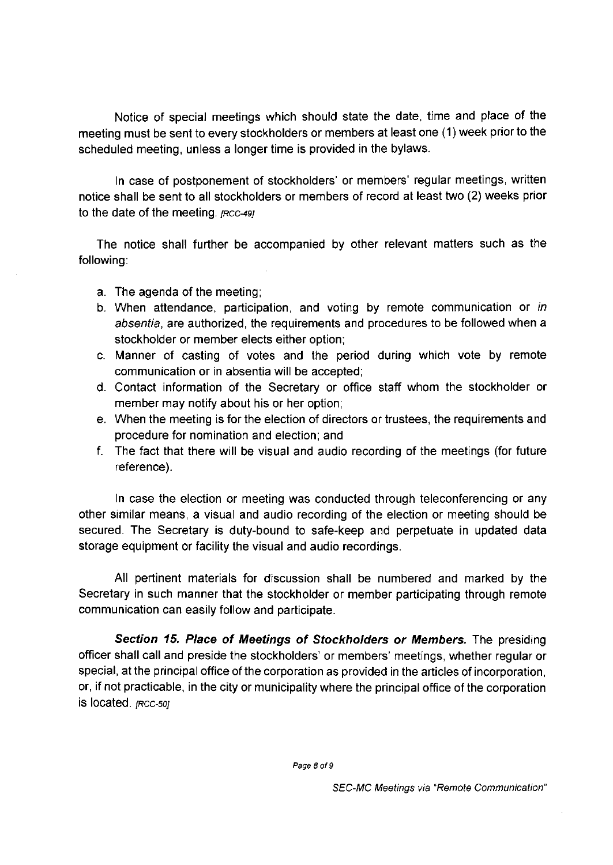Notice of special meetings which should state the date, time and place of the meeting must be sent to every stockholders or members at least one (1) week prior to the scheduled meeting, unless a longer time is provided in the bylaws.

In case of postponement of stockholders' or members' regular meetings, written notice shall be sent to all stockholders or members of record at least two (2) weeks prior to the date of the meeting, *[RCC-49]* 

The notice shall further be accompanied by other relevant matters such as the following:

- a. The agenda of the meeting;
- b. When attendance, participation, and voting by remote communication or *in absentia,* are authorized, the requirements and procedures to be followed when a stockholder or member elects either option;
- c. Manner of casting of votes and the period during which vote by remote communication or in absentia will be accepted;
- d. Contact information of the Secretary or office staff whom the stockholder or member may notify about his or her option;
- e. When the meeting is for the election of directors or trustees, the requirements and procedure for nomination and election; and
- f. The fact that there will be visual and audio recording of the meetings (for future reference).

In case the election or meeting was conducted through teleconferencing or any other similar means, a visual and audio recording of the election or meeting should be secured. The Secretary is duty-bound to safe-keep and perpetuate in updated data storage equipment or facility the visual and audio recordings.

All pertinent materials for discussion shall be numbered and marked by the Secretary in such manner that the stockholder or member participating through remote communication can easily follow and participate.

*Section 15. Place of Meetings of Stockholders or Members.* The presiding officer shall call and preside the stockholders' or members' meetings, whether regular or special, at the principal office of the corporation as provided in the articles of incorporation, or, if not practicable, in the city or municipality where the principal office of the corporation is located. *[RCC-50]*